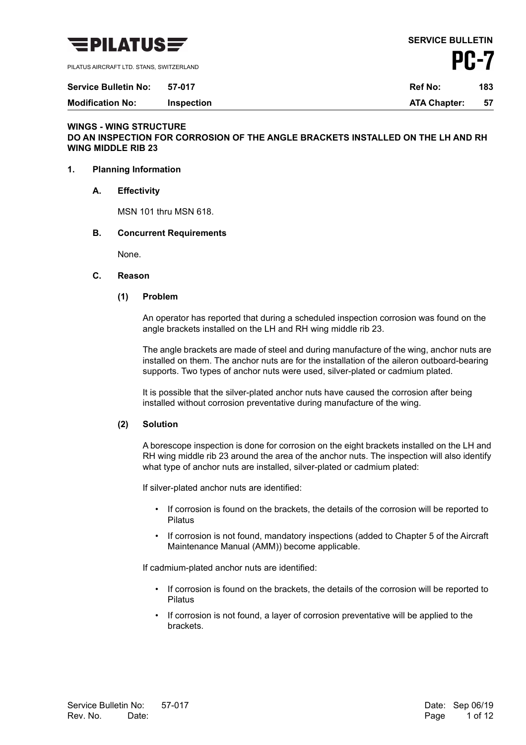

PILATUS AIRCRAFT LTD. STANS, SWITZERLAND

**Modification No: Inspection ATA Chapter: 57**

## **WINGS - WING STRUCTURE DO AN INSPECTION FOR CORROSION OF THE ANGLE BRACKETS INSTALLED ON THE LH AND RH WING MIDDLE RIB 23**

## **1. Planning Information**

**A. Effectivity**

MSN 101 thru MSN 618.

## **B. Concurrent Requirements**

None.

#### **C. Reason**

## **(1) Problem**

An operator has reported that during a scheduled inspection corrosion was found on the angle brackets installed on the LH and RH wing middle rib 23.

The angle brackets are made of steel and during manufacture of the wing, anchor nuts are installed on them. The anchor nuts are for the installation of the aileron outboard-bearing supports. Two types of anchor nuts were used, silver-plated or cadmium plated.

It is possible that the silver-plated anchor nuts have caused the corrosion after being installed without corrosion preventative during manufacture of the wing.

## **(2) Solution**

A borescope inspection is done for corrosion on the eight brackets installed on the LH and RH wing middle rib 23 around the area of the anchor nuts. The inspection will also identify what type of anchor nuts are installed, silver-plated or cadmium plated:

If silver-plated anchor nuts are identified:

- If corrosion is found on the brackets, the details of the corrosion will be reported to Pilatus
- If corrosion is not found, mandatory inspections (added to Chapter 5 of the Aircraft Maintenance Manual (AMM)) become applicable.

If cadmium-plated anchor nuts are identified:

- If corrosion is found on the brackets, the details of the corrosion will be reported to Pilatus
- If corrosion is not found, a layer of corrosion preventative will be applied to the **brackets**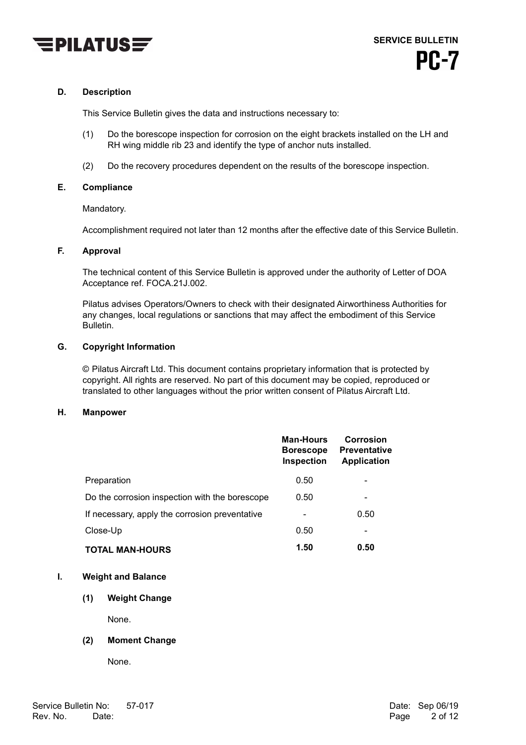

## **D. Description**

This Service Bulletin gives the data and instructions necessary to:

- (1) Do the borescope inspection for corrosion on the eight brackets installed on the LH and RH wing middle rib 23 and identify the type of anchor nuts installed.
- (2) Do the recovery procedures dependent on the results of the borescope inspection.

## **E. Compliance**

Mandatory.

Accomplishment required not later than 12 months after the effective date of this Service Bulletin.

## **F. Approval**

The technical content of this Service Bulletin is approved under the authority of Letter of DOA Acceptance ref. FOCA.21J.002.

Pilatus advises Operators/Owners to check with their designated Airworthiness Authorities for any changes, local regulations or sanctions that may affect the embodiment of this Service Bulletin.

## **G. Copyright Information**

© Pilatus Aircraft Ltd. This document contains proprietary information that is protected by copyright. All rights are reserved. No part of this document may be copied, reproduced or translated to other languages without the prior written consent of Pilatus Aircraft Ltd.

#### **H. Manpower**

|                                                | <b>Man-Hours</b><br><b>Borescope</b><br><b>Inspection</b> | <b>Corrosion</b><br><b>Preventative</b><br><b>Application</b> |
|------------------------------------------------|-----------------------------------------------------------|---------------------------------------------------------------|
| Preparation                                    | 0.50                                                      |                                                               |
| Do the corrosion inspection with the borescope | 0.50                                                      |                                                               |
| If necessary, apply the corrosion preventative |                                                           | 0.50                                                          |
| Close-Up                                       | 0.50                                                      |                                                               |
| <b>TOTAL MAN-HOURS</b>                         | 1.50                                                      | 0.50                                                          |

## **I. Weight and Balance**

## **(1) Weight Change**

None.

## **(2) Moment Change**

None.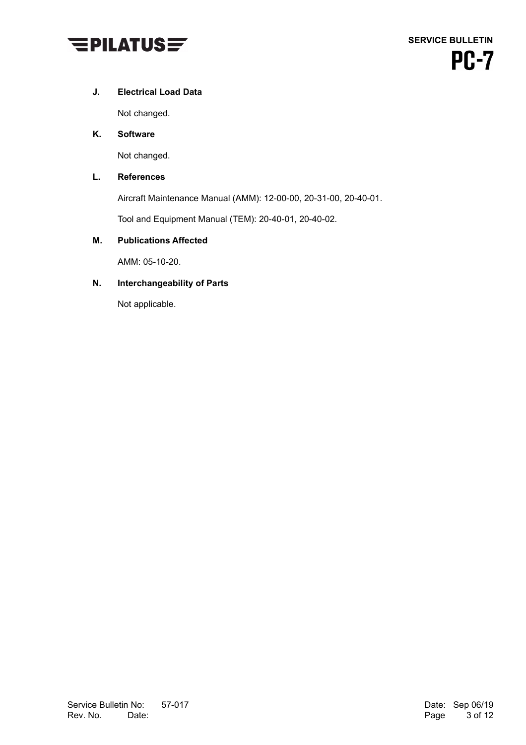

## **J. Electrical Load Data**

Not changed.

## **K. Software**

Not changed.

## **L. References**

Aircraft Maintenance Manual (AMM): 12-00-00, 20-31-00, 20-40-01.

Tool and Equipment Manual (TEM): 20-40-01, 20-40-02.

## **M. Publications Affected**

AMM: 05-10-20.

## **N. Interchangeability of Parts**

Not applicable.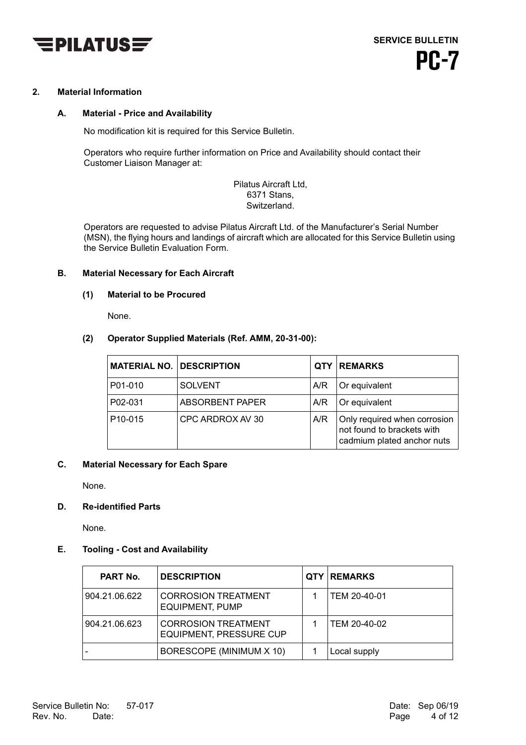

## **2. Material Information**

## **A. Material - Price and Availability**

No modification kit is required for this Service Bulletin.

Operators who require further information on Price and Availability should contact their Customer Liaison Manager at:

> Pilatus Aircraft Ltd, 6371 Stans, Switzerland.

Operators are requested to advise Pilatus Aircraft Ltd. of the Manufacturer's Serial Number (MSN), the flying hours and landings of aircraft which are allocated for this Service Bulletin using the Service Bulletin Evaluation Form.

## **B. Material Necessary for Each Aircraft**

## **(1) Material to be Procured**

None.

## **(2) Operator Supplied Materials (Ref. AMM, 20-31-00):**

| <b>MATERIAL NO. DESCRIPTION</b> |                  | <b>QTY</b> | <b>REMARKS</b>                                                                           |
|---------------------------------|------------------|------------|------------------------------------------------------------------------------------------|
| P01-010                         | <b>SOLVENT</b>   | A/R        | Or equivalent                                                                            |
| P02-031                         | ABSORBENT PAPER  | A/R        | Or equivalent                                                                            |
| P10-015                         | CPC ARDROX AV 30 | A/R        | Only required when corrosion<br>not found to brackets with<br>cadmium plated anchor nuts |

## **C. Material Necessary for Each Spare**

None.

## **D. Re-identified Parts**

None.

## **E. Tooling - Cost and Availability**

| <b>PART No.</b> | <b>DESCRIPTION</b>                                           | <b>QTY REMARKS</b> |
|-----------------|--------------------------------------------------------------|--------------------|
| 904.21.06.622   | <b>CORROSION TREATMENT</b><br><b>EQUIPMENT, PUMP</b>         | TEM 20-40-01       |
| 904.21.06.623   | <b>CORROSION TREATMENT</b><br><b>EQUIPMENT, PRESSURE CUP</b> | TEM 20-40-02       |
|                 | BORESCOPE (MINIMUM X 10)                                     | Local supply       |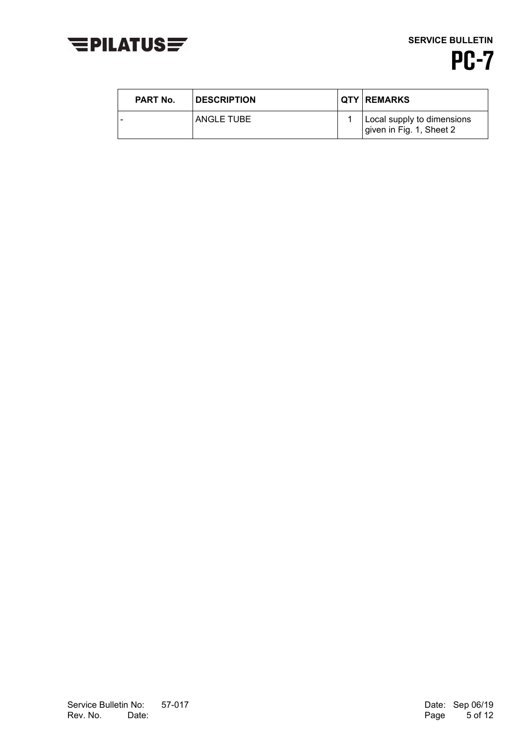

**SERVICE BULLETIN PC-7** 

| <b>PART No.</b> | <b>DESCRIPTION</b> | <b>QTY REMARKS</b>                                     |
|-----------------|--------------------|--------------------------------------------------------|
|                 | ANGLE TUBE         | Local supply to dimensions<br>given in Fig. 1, Sheet 2 |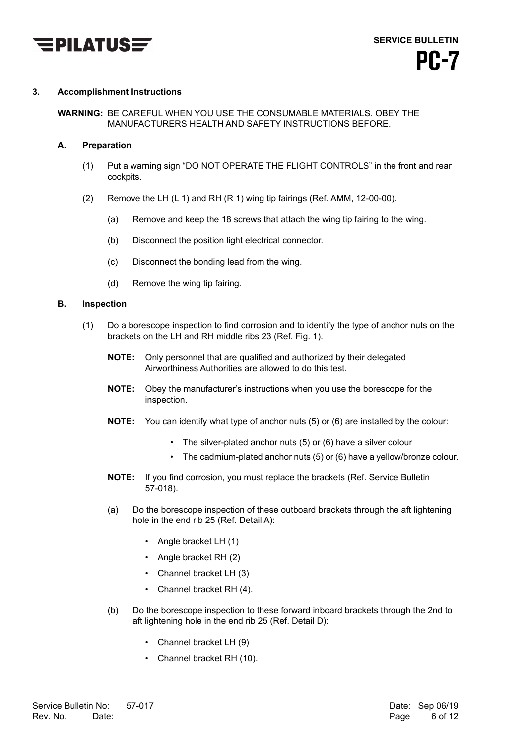

## **3. Accomplishment Instructions**

**WARNING:** BE CAREFUL WHEN YOU USE THE CONSUMABLE MATERIALS. OBEY THE MANUFACTURERS HEALTH AND SAFETY INSTRUCTIONS BEFORE.

## **A. Preparation**

- (1) Put a warning sign "DO NOT OPERATE THE FLIGHT CONTROLS" in the front and rear cockpits.
- (2) Remove the LH (L 1) and RH (R 1) wing tip fairings (Ref. AMM, 12-00-00).
	- (a) Remove and keep the 18 screws that attach the wing tip fairing to the wing.
	- (b) Disconnect the position light electrical connector.
	- (c) Disconnect the bonding lead from the wing.
	- (d) Remove the wing tip fairing.

## **B. Inspection**

- (1) Do a borescope inspection to find corrosion and to identify the type of anchor nuts on the brackets on the LH and RH middle ribs 23 (Ref. Fig. 1).
	- **NOTE:** Only personnel that are qualified and authorized by their delegated Airworthiness Authorities are allowed to do this test.
	- **NOTE:** Obey the manufacturer's instructions when you use the borescope for the inspection.
	- **NOTE:** You can identify what type of anchor nuts (5) or (6) are installed by the colour:
		- The silver-plated anchor nuts (5) or (6) have a silver colour
		- The cadmium-plated anchor nuts (5) or (6) have a yellow/bronze colour.
	- **NOTE:** If you find corrosion, you must replace the brackets (Ref. Service Bulletin 57-018).
	- (a) Do the borescope inspection of these outboard brackets through the aft lightening hole in the end rib 25 (Ref. Detail A):
		- Angle bracket LH (1)
		- Angle bracket RH (2)
		- Channel bracket LH (3)
		- Channel bracket RH (4).
	- (b) Do the borescope inspection to these forward inboard brackets through the 2nd to aft lightening hole in the end rib 25 (Ref. Detail D):
		- Channel bracket LH (9)
		- Channel bracket RH (10).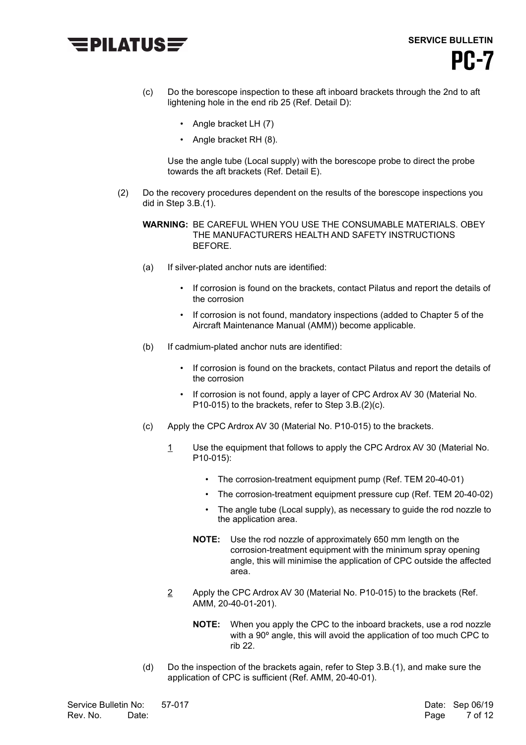

- (c) Do the borescope inspection to these aft inboard brackets through the 2nd to aft lightening hole in the end rib 25 (Ref. Detail D):
	- Angle bracket LH (7)
	- Angle bracket RH (8).

Use the angle tube (Local supply) with the borescope probe to direct the probe towards the aft brackets (Ref. Detail E).

(2) Do the recovery procedures dependent on the results of the borescope inspections you did in Step 3.B.(1).

**WARNING:** BE CAREFUL WHEN YOU USE THE CONSUMABLE MATERIALS. OBEY THE MANUFACTURERS HEALTH AND SAFETY INSTRUCTIONS BEFORE.

- (a) If silver-plated anchor nuts are identified:
	- If corrosion is found on the brackets, contact Pilatus and report the details of the corrosion
	- If corrosion is not found, mandatory inspections (added to Chapter 5 of the Aircraft Maintenance Manual (AMM)) become applicable.
- (b) If cadmium-plated anchor nuts are identified:
	- If corrosion is found on the brackets, contact Pilatus and report the details of the corrosion
	- If corrosion is not found, apply a layer of CPC Ardrox AV 30 (Material No. P10-015) to the brackets, refer to Step 3.B.(2)(c).
- (c) Apply the CPC Ardrox AV 30 (Material No. P10-015) to the brackets.
	- 1 Use the equipment that follows to apply the CPC Ardrox AV 30 (Material No. P10-015):
		- The corrosion-treatment equipment pump (Ref. TEM 20-40-01)
		- The corrosion-treatment equipment pressure cup (Ref. TEM 20-40-02)
		- The angle tube (Local supply), as necessary to guide the rod nozzle to the application area.
		- **NOTE:** Use the rod nozzle of approximately 650 mm length on the corrosion-treatment equipment with the minimum spray opening angle, this will minimise the application of CPC outside the affected area.
	- 2 Apply the CPC Ardrox AV 30 (Material No. P10-015) to the brackets (Ref. AMM, 20-40-01-201).
		- **NOTE:** When you apply the CPC to the inboard brackets, use a rod nozzle with a 90<sup>°</sup> angle, this will avoid the application of too much CPC to rib 22.
- (d) Do the inspection of the brackets again, refer to Step 3.B.(1), and make sure the application of CPC is sufficient (Ref. AMM, 20-40-01).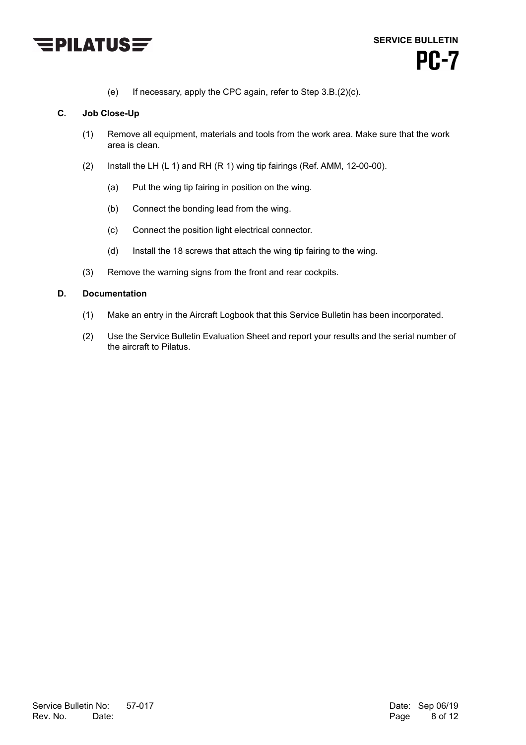

(e) If necessary, apply the CPC again, refer to Step 3.B.(2)(c).

## **C. Job Close-Up**

- (1) Remove all equipment, materials and tools from the work area. Make sure that the work area is clean.
- (2) Install the LH (L 1) and RH (R 1) wing tip fairings (Ref. AMM, 12-00-00).
	- (a) Put the wing tip fairing in position on the wing.
	- (b) Connect the bonding lead from the wing.
	- (c) Connect the position light electrical connector.
	- (d) Install the 18 screws that attach the wing tip fairing to the wing.
- (3) Remove the warning signs from the front and rear cockpits.

## **D. Documentation**

- (1) Make an entry in the Aircraft Logbook that this Service Bulletin has been incorporated.
- (2) Use the Service Bulletin Evaluation Sheet and report your results and the serial number of the aircraft to Pilatus.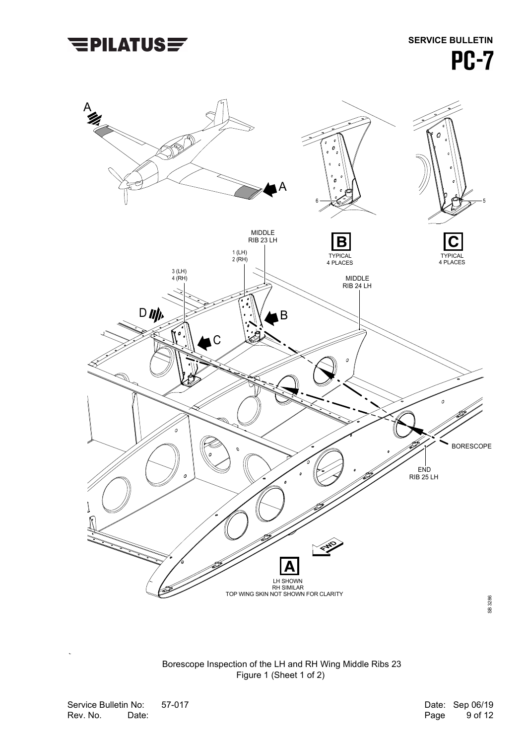

 Borescope Inspection of the LH and RH Wing Middle Ribs 23 Figure 1 (Sheet 1 of 2)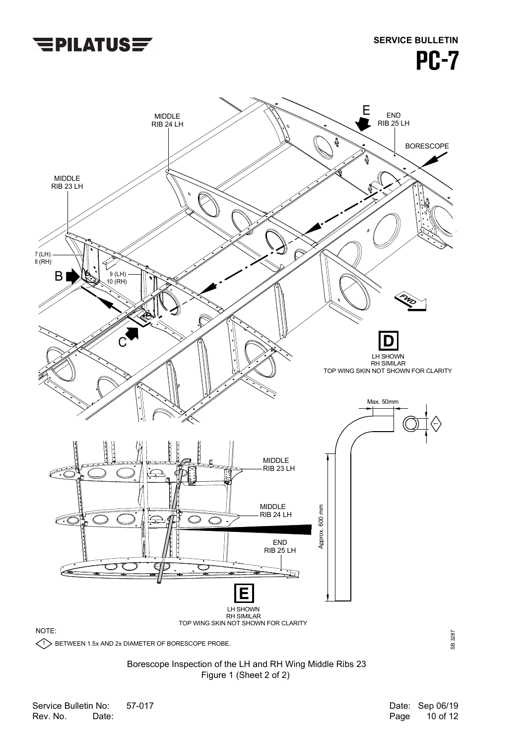

# **SERVICE BULLETIN PC-7**



 Borescope Inspection of the LH and RH Wing Middle Ribs 23 Figure 1 (Sheet 2 of 2)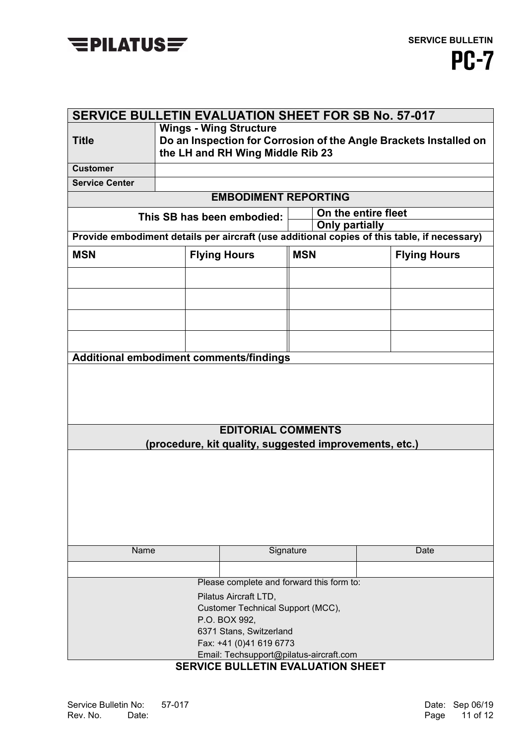

| <b>SERVICE BULLETIN EVALUATION SHEET FOR SB No. 57-017</b> |                                                                                                       |                                                        |            |                       |  |                                                                                             |
|------------------------------------------------------------|-------------------------------------------------------------------------------------------------------|--------------------------------------------------------|------------|-----------------------|--|---------------------------------------------------------------------------------------------|
|                                                            | <b>Wings - Wing Structure</b>                                                                         |                                                        |            |                       |  |                                                                                             |
| <b>Title</b>                                               | Do an Inspection for Corrosion of the Angle Brackets Installed on<br>the LH and RH Wing Middle Rib 23 |                                                        |            |                       |  |                                                                                             |
| <b>Customer</b>                                            |                                                                                                       |                                                        |            |                       |  |                                                                                             |
| <b>Service Center</b>                                      |                                                                                                       |                                                        |            |                       |  |                                                                                             |
|                                                            |                                                                                                       | <b>EMBODIMENT REPORTING</b>                            |            |                       |  |                                                                                             |
|                                                            | This SB has been embodied:                                                                            |                                                        |            | On the entire fleet   |  |                                                                                             |
|                                                            |                                                                                                       |                                                        |            | <b>Only partially</b> |  | Provide embodiment details per aircraft (use additional copies of this table, if necessary) |
|                                                            |                                                                                                       |                                                        |            |                       |  |                                                                                             |
| <b>MSN</b>                                                 |                                                                                                       | <b>Flying Hours</b>                                    | <b>MSN</b> |                       |  | <b>Flying Hours</b>                                                                         |
|                                                            |                                                                                                       |                                                        |            |                       |  |                                                                                             |
|                                                            |                                                                                                       |                                                        |            |                       |  |                                                                                             |
|                                                            |                                                                                                       |                                                        |            |                       |  |                                                                                             |
|                                                            |                                                                                                       |                                                        |            |                       |  |                                                                                             |
|                                                            |                                                                                                       |                                                        |            |                       |  |                                                                                             |
| Additional embodiment comments/findings                    |                                                                                                       |                                                        |            |                       |  |                                                                                             |
|                                                            |                                                                                                       |                                                        |            |                       |  |                                                                                             |
|                                                            |                                                                                                       |                                                        |            |                       |  |                                                                                             |
|                                                            |                                                                                                       |                                                        |            |                       |  |                                                                                             |
|                                                            |                                                                                                       |                                                        |            |                       |  |                                                                                             |
|                                                            |                                                                                                       | <b>EDITORIAL COMMENTS</b>                              |            |                       |  |                                                                                             |
|                                                            |                                                                                                       | (procedure, kit quality, suggested improvements, etc.) |            |                       |  |                                                                                             |
|                                                            |                                                                                                       |                                                        |            |                       |  |                                                                                             |
|                                                            |                                                                                                       |                                                        |            |                       |  |                                                                                             |
|                                                            |                                                                                                       |                                                        |            |                       |  |                                                                                             |
|                                                            |                                                                                                       |                                                        |            |                       |  |                                                                                             |
|                                                            |                                                                                                       |                                                        |            |                       |  |                                                                                             |
|                                                            |                                                                                                       |                                                        |            |                       |  |                                                                                             |
| Name<br>Signature                                          |                                                                                                       |                                                        | Date       |                       |  |                                                                                             |
|                                                            |                                                                                                       |                                                        |            |                       |  |                                                                                             |
| Please complete and forward this form to:                  |                                                                                                       |                                                        |            |                       |  |                                                                                             |
| Pilatus Aircraft LTD,                                      |                                                                                                       |                                                        |            |                       |  |                                                                                             |
| Customer Technical Support (MCC),                          |                                                                                                       |                                                        |            |                       |  |                                                                                             |
| P.O. BOX 992,                                              |                                                                                                       |                                                        |            |                       |  |                                                                                             |
| 6371 Stans, Switzerland<br>Fax: +41 (0)41 619 6773         |                                                                                                       |                                                        |            |                       |  |                                                                                             |
|                                                            |                                                                                                       |                                                        |            |                       |  |                                                                                             |
| Email: Techsupport@pilatus-aircraft.com                    |                                                                                                       |                                                        |            |                       |  |                                                                                             |

## **SERVICE BULLETIN EVALUATION SHEET**